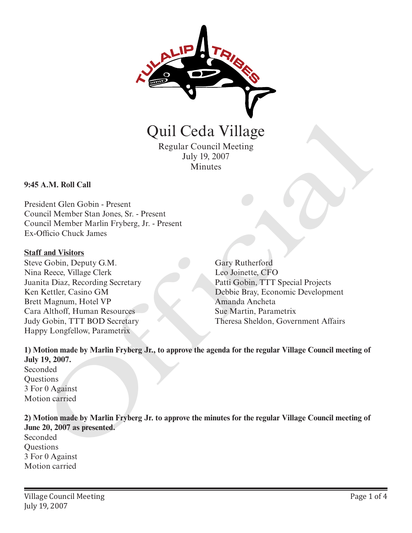

Quil Ceda Village Regular Council Meeting

July 19, 2007 Minutes

#### **9:45 A.M. Roll Call**

President Glen Gobin - Present Council Member Stan Jones, Sr. - Present Council Member Marlin Fryberg, Jr. - Present Ex-Officio Chuck James

#### **Staff and Visitors**

Steve Gobin, Deputy G.M. Nina Reece, Village Clerk Juanita Diaz, Recording Secretary Ken Kettler, Casino GM Brett Magnum, Hotel VP Cara Althoff, Human Resources Judy Gobin, TTT BOD Secretary Happy Longfellow, Parametrix

Gary Rutherford Leo Joinette, CFO Patti Gobin, TTT Special Projects Debbie Bray, Economic Development Amanda Ancheta Sue Martin, Parametrix Theresa Sheldon, Government Affairs

**1) Motion made by Marlin Fryberg Jr., to approve the agenda for the regular Village Council meeting of July 19, 2007.** Seconded **Ouestions** 3 For 0 Against Motion carried Quil Ceda Village<br>
Regular Council Meeting<br>
Inly 19, 2007<br>
Minutes<br>
A.M. Roll Call<br>
dent Glenn Gobin - Present<br>
Indio them Stan Jones, Sr. - Present<br>
Indio Chuck James<br>
Difficio Chuck James<br>
Cleohin. Deputy G.M.<br>
Recec, Vi

**2) Motion made by Marlin Fryberg Jr. to approve the minutes for the regular Village Council meeting of June 20, 2007 as presented.** Seconded **Questions** 3 For 0 Against

Motion carried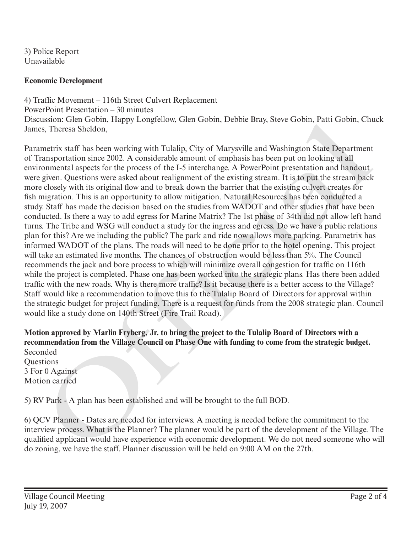3) Police Report Unavailable

## **Economic Development**

4) Traffic Movement – 116th Street Culvert Replacement PowerPoint Presentation – 30 minutes Discussion: Glen Gobin, Happy Longfellow, Glen Gobin, Debbie Bray, Steve Gobin, Patti Gobin, Chuck James, Theresa Sheldon,

Parametrix staff has been working with Tulalip, City of Marysville and Washington State Department of Transportation since 2002. A considerable amount of emphasis has been put on looking at all environmental aspects for the process of the I-5 interchange. A PowerPoint presentation and handout were given. Questions were asked about realignment of the existing stream. It is to put the stream back more closely with its original flow and to break down the barrier that the existing culvert creates for fish migration. This is an opportunity to allow mitigation. Natural Resources has been conducted a study. Staff has made the decision based on the studies from WADOT and other studies that have been conducted. Is there a way to add egress for Marine Matrix? The 1st phase of 34th did not allow left hand turns. The Tribe and WSG will conduct a study for the ingress and egress. Do we have a public relations plan for this? Are we including the public? The park and ride now allows more parking. Parametrix has informed WADOT of the plans. The roads will need to be done prior to the hotel opening. This project will take an estimated five months. The chances of obstruction would be less than 5%. The Council recommends the jack and bore process to which will minimize overall congestion for traffic on 116th while the project is completed. Phase one has been worked into the strategic plans. Has there been added traffic with the new roads. Why is there more traffic? Is it because there is a better access to the Village? Staff would like a recommendation to move this to the Tulalip Board of Directors for approval within the strategic budget for project funding. There is a request for funds from the 2008 strategic plan. Council would like a study done on 140th Street (Fire Trail Road). Discussion: Core Coolin, Happy Longretiow, Cien Coolin, Debbie Bray, Steve Crobin, Calif Channer<br>Marnes, Theresa Sheldon,<br>Parametris staff has been working with Tulalip, City of Marysville and Washington State Department<br>o

# **Motion approved by Marlin Fryberg, Jr. to bring the project to the Tulalip Board of Directors with a recommendation from the Village Council on Phase One with funding to come from the strategic budget.** Seconded

**Ouestions** 3 For 0 Against Motion carried

5) RV Park - A plan has been established and will be brought to the full BOD.

6) QCV Planner - Dates are needed for interviews. A meeting is needed before the commitment to the interview process. What is the Planner? The planner would be part of the development of the Village. The qualified applicant would have experience with economic development. We do not need someone who will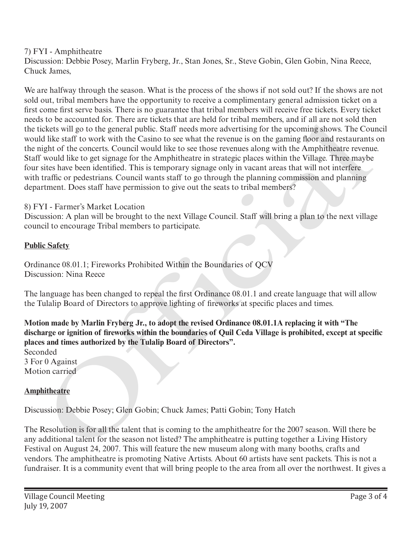# 7) FYI - Amphitheatre

Discussion: Debbie Posey, Marlin Fryberg, Jr., Stan Jones, Sr., Steve Gobin, Glen Gobin, Nina Reece, Chuck James,

We are halfway through the season. What is the process of the shows if not sold out? If the shows are not sold out, tribal members have the opportunity to receive a complimentary general admission ticket on a first come first serve basis. There is no guarantee that tribal members will receive free tickets. Every ticket needs to be accounted for. There are tickets that are held for tribal members, and if all are not sold then the tickets will go to the general public. Staff needs more advertising for the upcoming shows. The Council would like staff to work with the Casino to see what the revenue is on the gaming floor and restaurants on the night of the concerts. Council would like to see those revenues along with the Amphitheatre revenue. Staff would like to get signage for the Amphitheatre in strategic places within the Village. Three maybe four sites have been identified. This is temporary signage only in vacant areas that will not interfere with traffic or pedestrians. Council wants staff to go through the planning commission and planning department. Does staff have permission to give out the seats to tribal members? s to be accounted tor. There are treetests har are nel tor trival members, and r all are not solicitated like staff is over the coincil glot of the concerts and the coincil glot of the concerts counting thows. The Council

# 8) FYI - Farmer's Market Location

Discussion: A plan will be brought to the next Village Council. Staff will bring a plan to the next village council to encourage Tribal members to participate.

### **Public Safety**

Ordinance 08.01.1; Fireworks Prohibited Within the Boundaries of QCV Discussion: Nina Reece

The language has been changed to repeal the first Ordinance 08.01.1 and create language that will allow the Tulalip Board of Directors to approve lighting of fireworks at specific places and times.

**Motion made by Marlin Fryberg Jr., to adopt the revised Ordinance 08.01.1A replacing it with "The discharge or ignition of fireworks within the boundaries of Quil Ceda Village is prohibited, except at specific places and times authorized by the Tulalip Board of Directors".**

Seconded 3 For 0 Against Motion carried

# **Amphitheatre**

Discussion: Debbie Posey; Glen Gobin; Chuck James; Patti Gobin; Tony Hatch

The Resolution is for all the talent that is coming to the amphitheatre for the 2007 season. Will there be any additional talent for the season not listed? The amphitheatre is putting together a Living History Festival on August 24, 2007. This will feature the new museum along with many booths, crafts and vendors. The amphitheatre is promoting Native Artists. About 60 artists have sent packets. This is not a fundraiser. It is a community event that will bring people to the area from all over the northwest. It gives a